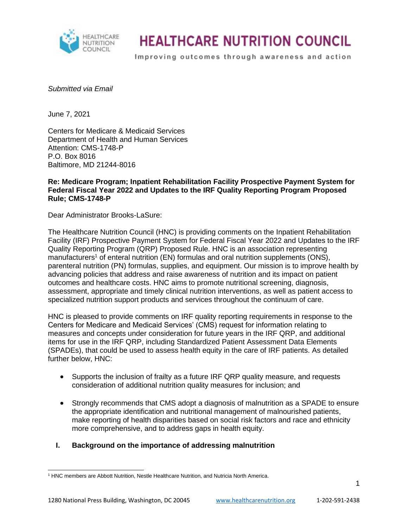

Improving outcomes through awareness and action

#### *Submitted via Email*

June 7, 2021

Centers for Medicare & Medicaid Services Department of Health and Human Services Attention: CMS-1748-P P.O. Box 8016 Baltimore, MD 21244-8016

#### **Re: Medicare Program; Inpatient Rehabilitation Facility Prospective Payment System for Federal Fiscal Year 2022 and Updates to the IRF Quality Reporting Program Proposed Rule; CMS-1748-P**

Dear Administrator Brooks-LaSure:

The Healthcare Nutrition Council (HNC) is providing comments on the Inpatient Rehabilitation Facility (IRF) Prospective Payment System for Federal Fiscal Year 2022 and Updates to the IRF Quality Reporting Program (QRP) Proposed Rule. HNC is an association representing manufacturers<sup>1</sup> of enteral nutrition (EN) formulas and oral nutrition supplements (ONS), parenteral nutrition (PN) formulas, supplies, and equipment. Our mission is to improve health by advancing policies that address and raise awareness of nutrition and its impact on patient outcomes and healthcare costs. HNC aims to promote nutritional screening, diagnosis, assessment, appropriate and timely clinical nutrition interventions, as well as patient access to specialized nutrition support products and services throughout the continuum of care.

HNC is pleased to provide comments on IRF quality reporting requirements in response to the Centers for Medicare and Medicaid Services' (CMS) request for information relating to measures and concepts under consideration for future years in the IRF QRP, and additional items for use in the IRF QRP, including Standardized Patient Assessment Data Elements (SPADEs), that could be used to assess health equity in the care of IRF patients. As detailed further below, HNC:

- Supports the inclusion of frailty as a future IRF QRP quality measure, and requests consideration of additional nutrition quality measures for inclusion; and
- Strongly recommends that CMS adopt a diagnosis of malnutrition as a SPADE to ensure the appropriate identification and nutritional management of malnourished patients, make reporting of health disparities based on social risk factors and race and ethnicity more comprehensive, and to address gaps in health equity.

### **I. Background on the importance of addressing malnutrition**

<sup>1</sup> HNC members are Abbott Nutrition, Nestle Healthcare Nutrition, and Nutricia North America.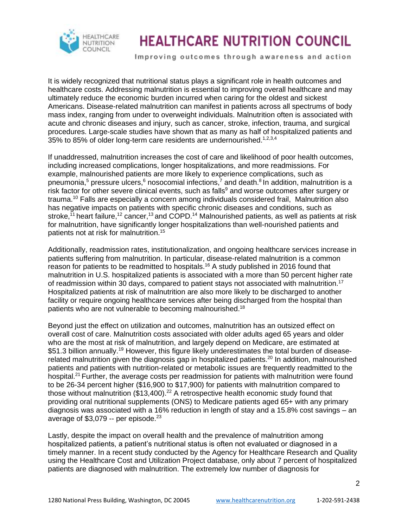

Improving outcomes through awareness and action

It is widely recognized that nutritional status plays a significant role in health outcomes and healthcare costs. Addressing malnutrition is essential to improving overall healthcare and may ultimately reduce the economic burden incurred when caring for the oldest and sickest Americans. Disease-related malnutrition can manifest in patients across all spectrums of body mass index, ranging from under to overweight individuals. Malnutrition often is associated with acute and chronic diseases and injury, such as cancer, stroke, infection, trauma, and surgical procedures. Large-scale studies have shown that as many as half of hospitalized patients and 35% to 85% of older long-term care residents are undernourished.<sup>1,2,3,4</sup>

If unaddressed, malnutrition increases the cost of care and likelihood of poor health outcomes, including increased complications, longer hospitalizations, and more readmissions. For example, malnourished patients are more likely to experience complications, such as pneumonia,<sup>5</sup> pressure ulcers,<sup>6</sup> nosocomial infections,<sup>7</sup> and death.<sup>8</sup> In addition, malnutrition is a risk factor for other severe clinical events, such as falls<sup>9</sup> and worse outcomes after surgery or trauma.<sup>10</sup> Falls are especially a concern among individuals considered frail, Malnutrition also has negative impacts on patients with specific chronic diseases and conditions, such as stroke,<sup>11</sup> heart failure,<sup>12</sup> cancer,<sup>13</sup> and COPD.<sup>14</sup> Malnourished patients, as well as patients at risk for malnutrition, have significantly longer hospitalizations than well-nourished patients and patients not at risk for malnutrition.<sup>15</sup>

Additionally, readmission rates, institutionalization, and ongoing healthcare services increase in patients suffering from malnutrition. In particular, disease-related malnutrition is a common reason for patients to be readmitted to hospitals.<sup>16</sup> A study published in 2016 found that malnutrition in U.S. hospitalized patients is associated with a more than 50 percent higher rate of readmission within 30 days, compared to patient stays not associated with malnutrition.<sup>17</sup> Hospitalized patients at risk of malnutrition are also more likely to be discharged to another facility or require ongoing healthcare services after being discharged from the hospital than patients who are not vulnerable to becoming malnourished.<sup>18</sup>

Beyond just the effect on utilization and outcomes, malnutrition has an outsized effect on overall cost of care. Malnutrition costs associated with older adults aged 65 years and older who are the most at risk of malnutrition, and largely depend on Medicare, are estimated at \$51.3 billion annually.<sup>19</sup> However, this figure likely underestimates the total burden of diseaserelated malnutrition given the diagnosis gap in hospitalized patients.<sup>20</sup> In addition, malnourished patients and patients with nutrition-related or metabolic issues are frequently readmitted to the hospital.<sup>21</sup> Further, the average costs per readmission for patients with malnutrition were found to be 26-34 percent higher (\$16,900 to \$17,900) for patients with malnutrition compared to those without malnutrition  $($13,400)$ .<sup>22</sup> A retrospective health economic study found that providing oral nutritional supplements (ONS) to Medicare patients aged 65+ with any primary diagnosis was associated with a 16% reduction in length of stay and a 15.8% cost savings – an average of  $$3,079 -$  per episode.<sup>23</sup>

Lastly, despite the impact on overall health and the prevalence of malnutrition among hospitalized patients, a patient's nutritional status is often not evaluated or diagnosed in a timely manner. In a recent study conducted by the Agency for Healthcare Research and Quality using the Healthcare Cost and Utilization Project database, only about 7 percent of hospitalized patients are diagnosed with malnutrition. The extremely low number of diagnosis for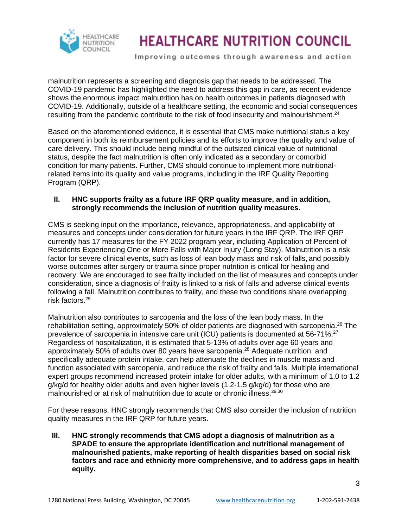

Improving outcomes through awareness and action

malnutrition represents a screening and diagnosis gap that needs to be addressed. The COVID-19 pandemic has highlighted the need to address this gap in care, as recent evidence shows the enormous impact malnutrition has on health outcomes in patients diagnosed with COVID-19. Additionally, outside of a healthcare setting, the economic and social consequences resulting from the pandemic contribute to the risk of food insecurity and malnourishment.<sup>24</sup>

Based on the aforementioned evidence, it is essential that CMS make nutritional status a key component in both its reimbursement policies and its efforts to improve the quality and value of care delivery. This should include being mindful of the outsized clinical value of nutritional status, despite the fact malnutrition is often only indicated as a secondary or comorbid condition for many patients. Further, CMS should continue to implement more nutritionalrelated items into its quality and value programs, including in the IRF Quality Reporting Program (QRP).

#### **II. HNC supports frailty as a future IRF QRP quality measure, and in addition, strongly recommends the inclusion of nutrition quality measures.**

CMS is seeking input on the importance, relevance, appropriateness, and applicability of measures and concepts under consideration for future years in the IRF QRP. The IRF QRP currently has 17 measures for the FY 2022 program year, including Application of Percent of Residents Experiencing One or More Falls with Major Injury (Long Stay). Malnutrition is a risk factor for severe clinical events, such as loss of lean body mass and risk of falls, and possibly worse outcomes after surgery or trauma since proper nutrition is critical for healing and recovery. We are encouraged to see frailty included on the list of measures and concepts under consideration, since a diagnosis of frailty is linked to a risk of falls and adverse clinical events following a fall. Malnutrition contributes to frailty, and these two conditions share overlapping risk factors.<sup>25</sup>

Malnutrition also contributes to sarcopenia and the loss of the lean body mass. In the rehabilitation setting, approximately 50% of older patients are diagnosed with sarcopenia.<sup>26</sup> The prevalence of sarcopenia in intensive care unit (ICU) patients is documented at 56-71%.<sup>27</sup> Regardless of hospitalization, it is estimated that 5-13% of adults over age 60 years and approximately 50% of adults over 80 years have sarcopenia.<sup>28</sup> Adequate nutrition, and specifically adequate protein intake, can help attenuate the declines in muscle mass and function associated with sarcopenia, and reduce the risk of frailty and falls. Multiple international expert groups recommend increased protein intake for older adults, with a minimum of 1.0 to 1.2 g/kg/d for healthy older adults and even higher levels (1.2-1.5 g/kg/d) for those who are malnourished or at risk of malnutrition due to acute or chronic illness.<sup>29,30</sup>

For these reasons, HNC strongly recommends that CMS also consider the inclusion of nutrition quality measures in the IRF QRP for future years.

**III. HNC strongly recommends that CMS adopt a diagnosis of malnutrition as a SPADE to ensure the appropriate identification and nutritional management of malnourished patients, make reporting of health disparities based on social risk factors and race and ethnicity more comprehensive, and to address gaps in health equity.**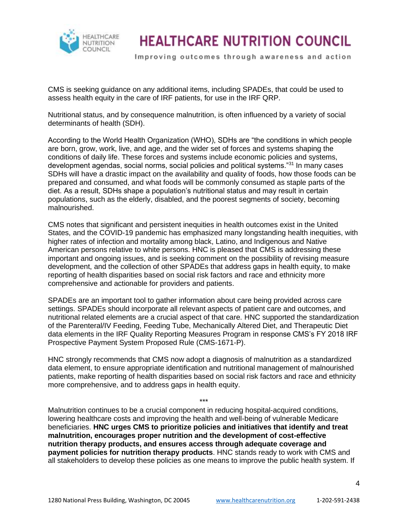

Improving outcomes through awareness and action

CMS is seeking guidance on any additional items, including SPADEs, that could be used to assess health equity in the care of IRF patients, for use in the IRF QRP.

Nutritional status, and by consequence malnutrition, is often influenced by a variety of social determinants of health (SDH).

According to the World Health Organization (WHO), SDHs are "the conditions in which people are born, grow, work, live, and age, and the wider set of forces and systems shaping the conditions of daily life. These forces and systems include economic policies and systems, development agendas, social norms, social policies and political systems."<sup>31</sup> In many cases SDHs will have a drastic impact on the availability and quality of foods, how those foods can be prepared and consumed, and what foods will be commonly consumed as staple parts of the diet. As a result, SDHs shape a population's nutritional status and may result in certain populations, such as the elderly, disabled, and the poorest segments of society, becoming malnourished.

CMS notes that significant and persistent inequities in health outcomes exist in the United States, and the COVID-19 pandemic has emphasized many longstanding health inequities, with higher rates of infection and mortality among black, Latino, and Indigenous and Native American persons relative to white persons. HNC is pleased that CMS is addressing these important and ongoing issues, and is seeking comment on the possibility of revising measure development, and the collection of other SPADEs that address gaps in health equity, to make reporting of health disparities based on social risk factors and race and ethnicity more comprehensive and actionable for providers and patients.

SPADEs are an important tool to gather information about care being provided across care settings. SPADEs should incorporate all relevant aspects of patient care and outcomes, and nutritional related elements are a crucial aspect of that care. HNC supported the standardization of the Parenteral/IV Feeding, Feeding Tube, Mechanically Altered Diet, and Therapeutic Diet data elements in the IRF Quality Reporting Measures Program in response CMS's FY 2018 IRF Prospective Payment System Proposed Rule (CMS-1671-P).

HNC strongly recommends that CMS now adopt a diagnosis of malnutrition as a standardized data element, to ensure appropriate identification and nutritional management of malnourished patients, make reporting of health disparities based on social risk factors and race and ethnicity more comprehensive, and to address gaps in health equity.

\*\*\*

Malnutrition continues to be a crucial component in reducing hospital-acquired conditions, lowering healthcare costs and improving the health and well-being of vulnerable Medicare beneficiaries. **HNC urges CMS to prioritize policies and initiatives that identify and treat malnutrition, encourages proper nutrition and the development of cost-effective nutrition therapy products, and ensures access through adequate coverage and payment policies for nutrition therapy products**. HNC stands ready to work with CMS and all stakeholders to develop these policies as one means to improve the public health system. If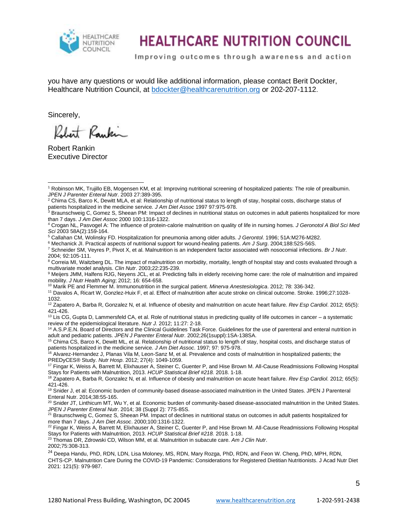

Improving outcomes through awareness and action

you have any questions or would like additional information, please contact Berit Dockter, Healthcare Nutrition Council, at [bdockter@healthcarenutrition.org](mailto:bdockter@healthcarenutrition.org) or 202-207-1112.

Sincerely,

Rebert Raykin

Robert Rankin Executive Director

<sup>6</sup> Mechanick JI. Practical aspects of nutritional support for wound-healing patients. *Am J Surg*. 2004;188:52S-56S.

<sup>7</sup> Schneider SM, Veyres P, Pivot X, et al. Malnutrition is an independent factor associated with nosocomial infections. *Br J Nutr.*  2004; 92:105-111.

<sup>8</sup> Correia MI, Waitzberg DL. The impact of malnutrition on morbidity, mortality, length of hospital stay and costs evaluated through a multivariate model analysis. *Clin Nutr*. 2003;22:235-239.

<sup>9</sup> Meijers JMM, Halfens RJG, Neyens JCL, et al. Predicting falls in elderly receiving home care: the role of malnutrition and impaired mobility. *J Nutr Health Aging*; 2012; 16: 654-658.

<sup>10</sup> Marik PE and Flemmer M. Immunonutrition in the surgical patient. *Minerva Anestesiologica*. 2012; 78: 336-342.

<sup>11</sup> Davalos A, Ricart W, Gonzlez-Huix F, et al. Effect of malnutrition after acute stroke on clinical outcome. Stroke. 1996;27:1028- 1032.

<sup>12</sup> Zapatero A, Barba R, Gonzalez N, et al. Influence of obesity and malnutrition on acute heart failure. *Rev Esp Cardiol*. 2012; 65(5): 421-426.

 $13$  Lis CG, Gupta D, Lammersfeld CA, et al. Role of nutritional status in predicting quality of life outcomes in cancer – a systematic review of the epidemiological literature. *Nutr J.* 2012; 11:27: 2-18.

<sup>14</sup> A.S.P.E.N. Board of Directors and the Clinical Guidelines Task Force. Guidelines for the use of parenteral and enteral nutrition in adult and pediatric patients. *JPEN J Parenter Enteral Nutr*. 2002;26(1suppl):1SA-138SA.

<sup>15</sup> Chima CS, Barco K, Dewitt ML, et al. Relationship of nutritional status to length of stay, hospital costs, and discharge status of patients hospitalized in the medicine service. *J Am Diet Assoc*. 1997; 97: 975-978.

<sup>16</sup> Alvarez-Hernandez J, Planas Vila M, Leon-Sanz M, et al. Prevalence and costs of malnutrition in hospitalized patients; the PREDyCES® Study. *Nutr Hosp*. 2012; 27(4): 1049-1059.

<sup>17</sup> Fingar K, Weiss A, Barrett M, Elixhauser A, Steiner C, Guenter P, and Hise Brown M. All-Cause Readmissions Following Hospital Stays for Patients with Malnutrition, 2013. *HCUP Statistical Brief #218.* 2018. 1-18.

<sup>18</sup> Zapatero A, Barba R, Gonzalez N, et al. Influence of obesity and malnutrition on acute heart failure. *Rev Esp Cardiol.* 2012; 65(5): 421-426.

<sup>19</sup> Snider J, et al: Economic burden of community-based disease-associated malnutrition in the United States. JPEN J Parenteral Enteral Nutr. 2014;38:55-165.

<sup>20</sup> Snider JT, Linthicum MT, Wu Y, et al. Economic burden of community-based disease-associated malnutrition in the United States. *JPEN J Parenter Enteral Nutr*. 2014; 38 (Suppl 2): 77S-85S.

<sup>21</sup> Braunschweig C, Gomez S, Sheean PM. Impact of declines in nutritional status on outcomes in adult patients hospitalized for more than 7 days. *J Am Diet Assoc*. 2000;100:1316-1322.

<sup>22</sup> Fingar K, Weiss A, Barrett M, Elixhauser A, Steiner C, Guenter P, and Hise Brown M. All-Cause Readmissions Following Hospital Stays for Patients with Malnutrition, 2013. *HCUP Statistical Brief #218.* 2018. 1-18.

<sup>23</sup> Thomas DR, Zdrowski CD, Wilson MM, et al. Malnutrition in subacute care. *Am J Clin Nutr*.

2002;75:308-313.

<sup>24</sup> [Deepa Handu,](https://www.ncbi.nlm.nih.gov/pubmed/?term=Handu%20D%5BAuthor%5D&cauthor=true&cauthor_uid=32411575) PhD, RDN, LDN, [Lisa Moloney,](https://www.ncbi.nlm.nih.gov/pubmed/?term=Moloney%20L%5BAuthor%5D&cauthor=true&cauthor_uid=32411575) MS, RDN, [Mary Rozga,](https://www.ncbi.nlm.nih.gov/pubmed/?term=Rozga%20M%5BAuthor%5D&cauthor=true&cauthor_uid=32411575) PhD, RDN, and [Feon W. Cheng,](https://www.ncbi.nlm.nih.gov/pubmed/?term=Cheng%20FW%5BAuthor%5D&cauthor=true&cauthor_uid=32411575) PhD, MPH, RDN, CHTS-CP. Malnutrition Care During the COVID-19 Pandemic: Considerations for Registered Dietitian Nutritionists. J Acad Nutr Diet 2021: 121(5): 979-987.

<sup>1</sup> Robinson MK, Trujillo EB, Mogensen KM, et al: Improving nutritional screening of hospitalized patients: The role of prealbumin. *JPEN J Parenter Enteral Nutr*. 2003 27:389-395.

 $^2$  Chima CS, Barco K, Dewitt MLA, et al: Relationship of nutritional status to length of stay, hospital costs, discharge status of patients hospitalized in the medicine service*. J Am Diet Assoc* 1997 97:975-978.

<sup>&</sup>lt;sup>3</sup> Braunschweig C, Gomez S, Sheean PM: Impact of declines in nutritional status on outcomes in adult patients hospitalized for more than 7 days. *J Am Diet Assoc* 2000 100:1316-1322.

<sup>4</sup> Crogan NL, Pasvogel A: The influence of protein-calorie malnutrition on quality of life in nursing homes*. J Geronotol A Biol Sci Med Sci* 2003 58A(2):159-164.

<sup>5</sup> Callahan CM, Wolinsky FD. Hospitalization for pneumonia among older adults. *J Gerontol*. 1996; 51A:M276-M282.